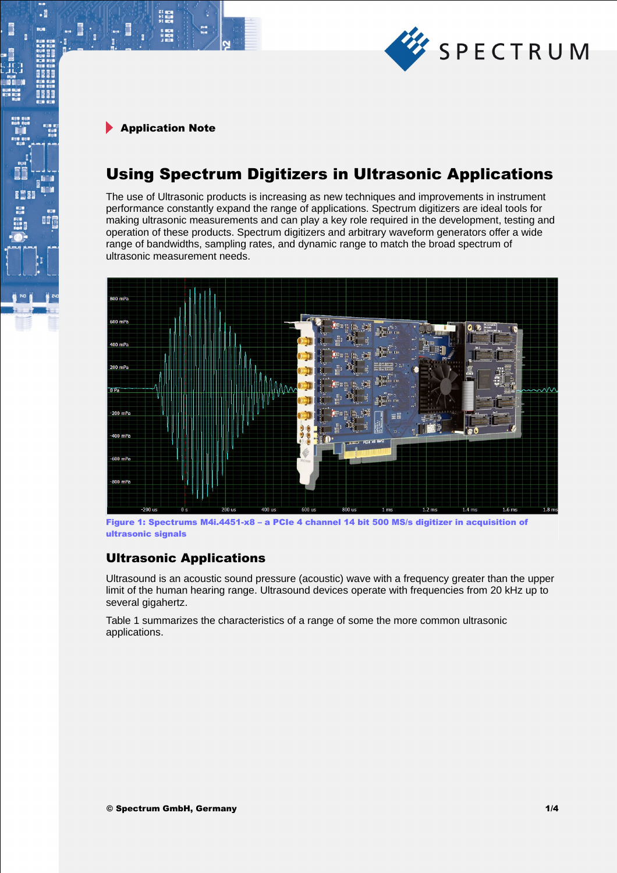

21 mm<br>サービス<br>91 mm

.

# Using Spectrum Digitizers in Ultrasonic Applications

The use of Ultrasonic products is increasing as new techniques and improvements in instrument performance constantly expand the range of applications. Spectrum digitizers are ideal tools for making ultrasonic measurements and can play a key role required in the development, testing and operation of these products. Spectrum digitizers and arbitrary waveform generators offer a wide range of bandwidths, sampling rates, and dynamic range to match the broad spectrum of ultrasonic measurement needs.



Figure 1: Spectrums M4i.4451-x8 – a PCIe 4 channel 14 bit 500 MS/s digitizer in acquisition of ultrasonic signals

## Ultrasonic Applications

Ultrasound is an acoustic sound pressure (acoustic) wave with a frequency greater than the upper limit of the human hearing range. Ultrasound devices operate with frequencies from 20 kHz up to several gigahertz.

Table 1 summarizes the characteristics of a range of some the more common ultrasonic applications.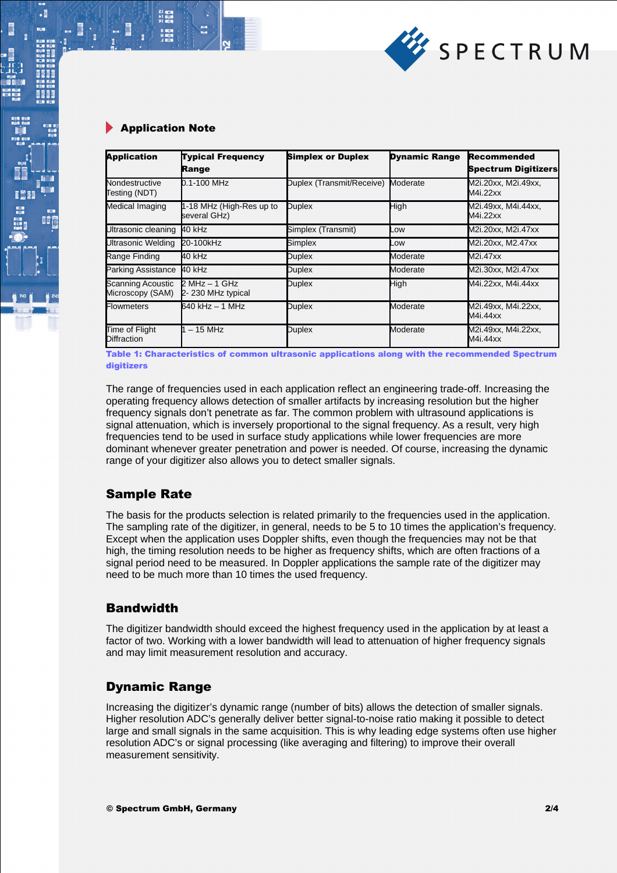

.

| <b>Application</b>                    | <b>Typical Frequency</b><br>Range        | <b>Simplex or Duplex</b>  | <b>Dynamic Range</b> | Recommended<br><b>Spectrum Digitizers</b> |
|---------------------------------------|------------------------------------------|---------------------------|----------------------|-------------------------------------------|
| Nondestructive<br>Testing (NDT)       | 0.1-100 MHz                              | Duplex (Transmit/Receive) | Moderate             | M2i.20xx, M2i.49xx,<br>M4i.22xx           |
| Medical Imaging                       | 1-18 MHz (High-Res up to<br>several GHz) | <b>Duplex</b>             | High                 | M2i.49xx, M4i.44xx,<br>M4i.22xx           |
| Ultrasonic cleaning                   | 40 kHz                                   | Simplex (Transmit)        | _OW                  | M2i.20xx, M2i.47xx                        |
| Ultrasonic Welding                    | 20-100kHz                                | Simplex                   | _OW                  | M2i.20xx, M2.47xx                         |
| Range Finding                         | 40 kHz                                   | <b>Duplex</b>             | Moderate             | M2i.47xx                                  |
| <b>Parking Assistance</b>             | 40 kHz                                   | <b>Duplex</b>             | Moderate             | M2i.30xx, M2i.47xx                        |
| Scanning Acoustic<br>Microscopy (SAM) | $2 MHz - 1 GHz$<br>2-230 MHz typical     | <b>Duplex</b>             | High                 | M4i.22xx, M4i.44xx                        |
| <b>Flowmeters</b>                     | 640 kHz - 1 MHz                          | <b>Duplex</b>             | Moderate             | M2i.49xx, M4i.22xx,<br>M4i.44xx           |
| Time of Flight<br><b>Diffraction</b>  | $-15$ MHz                                | <b>Duplex</b>             | Moderate             | M2i.49xx, M4i.22xx,<br>M4i.44xx           |

Table 1: Characteristics of common ultrasonic applications along with the recommended Spectrum digitizers

The range of frequencies used in each application reflect an engineering trade-off. Increasing the operating frequency allows detection of smaller artifacts by increasing resolution but the higher frequency signals don't penetrate as far. The common problem with ultrasound applications is signal attenuation, which is inversely proportional to the signal frequency. As a result, very high frequencies tend to be used in surface study applications while lower frequencies are more dominant whenever greater penetration and power is needed. Of course, increasing the dynamic range of your digitizer also allows you to detect smaller signals.

## Sample Rate

The basis for the products selection is related primarily to the frequencies used in the application. The sampling rate of the digitizer, in general, needs to be 5 to 10 times the application's frequency. Except when the application uses Doppler shifts, even though the frequencies may not be that high, the timing resolution needs to be higher as frequency shifts, which are often fractions of a signal period need to be measured. In Doppler applications the sample rate of the digitizer may need to be much more than 10 times the used frequency.

## **Bandwidth**

The digitizer bandwidth should exceed the highest frequency used in the application by at least a factor of two. Working with a lower bandwidth will lead to attenuation of higher frequency signals and may limit measurement resolution and accuracy.

## Dynamic Range

Increasing the digitizer's dynamic range (number of bits) allows the detection of smaller signals. Higher resolution ADC's generally deliver better signal-to-noise ratio making it possible to detect large and small signals in the same acquisition. This is why leading edge systems often use higher resolution ADC's or signal processing (like averaging and filtering) to improve their overall measurement sensitivity.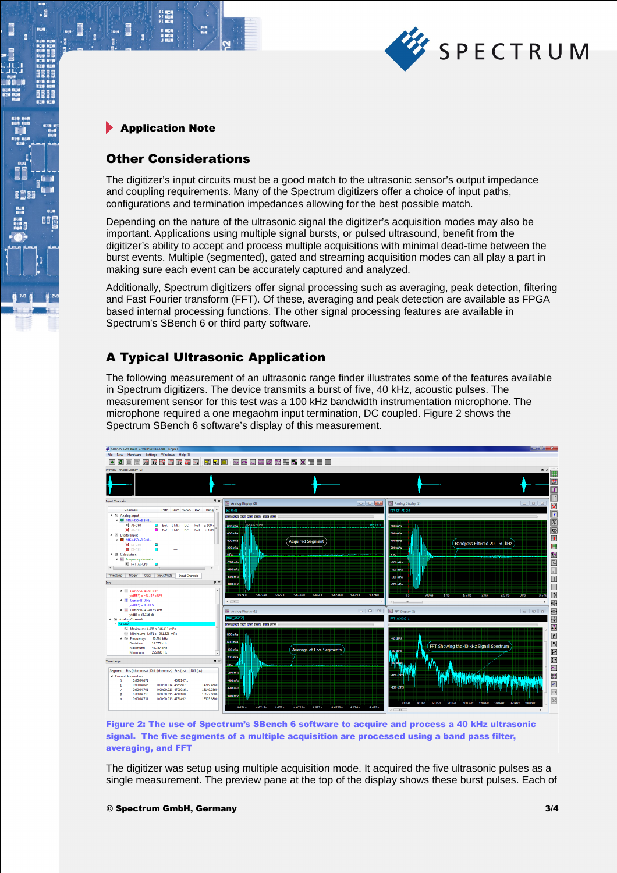

21 年11<br>11 年11<br>91 年11

 $\cdot$ 

**BEEF** 

瞪

### Other Considerations

The digitizer's input circuits must be a good match to the ultrasonic sensor's output impedance and coupling requirements. Many of the Spectrum digitizers offer a choice of input paths, configurations and termination impedances allowing for the best possible match.

Depending on the nature of the ultrasonic signal the digitizer's acquisition modes may also be important. Applications using multiple signal bursts, or pulsed ultrasound, benefit from the digitizer's ability to accept and process multiple acquisitions with minimal dead-time between the burst events. Multiple (segmented), gated and streaming acquisition modes can all play a part in making sure each event can be accurately captured and analyzed.

Additionally, Spectrum digitizers offer signal processing such as averaging, peak detection, filtering and Fast Fourier transform (FFT). Of these, averaging and peak detection are available as FPGA based internal processing functions. The other signal processing features are available in Spectrum's SBench 6 or third party software.

## A Typical Ultrasonic Application

The following measurement of an ultrasonic range finder illustrates some of the features available in Spectrum digitizers. The device transmits a burst of five, 40 kHz, acoustic pulses. The measurement sensor for this test was a 100 kHz bandwidth instrumentation microphone. The microphone required a one megaohm input termination, DC coupled. Figure 2 shows the Spectrum SBench 6 software's display of this measurement.



Figure 2: The use of Spectrum's SBench 6 software to acquire and process a 40 kHz ultrasonic signal. The five segments of a multiple acquisition are processed using a band pass filter, averaging, and FFT

The digitizer was setup using multiple acquisition mode. It acquired the five ultrasonic pulses as a single measurement. The preview pane at the top of the display shows these burst pulses. Each of